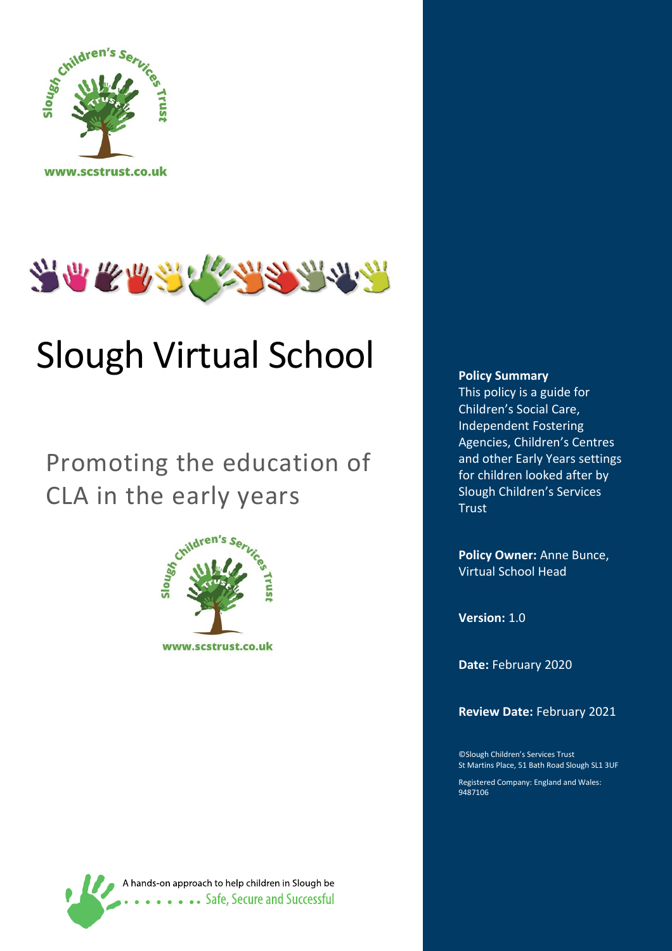



# Slough Virtual School

# Promoting the education of CLA in the early years



A hands-on approach to help children in Slough be **Safe, Secure and Successful** 

#### **Policy Summary**

<span id="page-0-0"></span>This policy is a guide for Children's Social Care, Independent Fostering Agencies, Children's Centres and other Early Years settings for children looked after by Slough Children's Services **Trust** 

**Policy Owner:** Anne Bunce, Virtual School Head

**Version:** 1.0

**Date:** February 2020

**Review Date:** February 2021

©Slough Children's Services Trust St Martins Place, 51 Bath Road Slough SL1 3UF

Registered Company: England and Wales: 9487106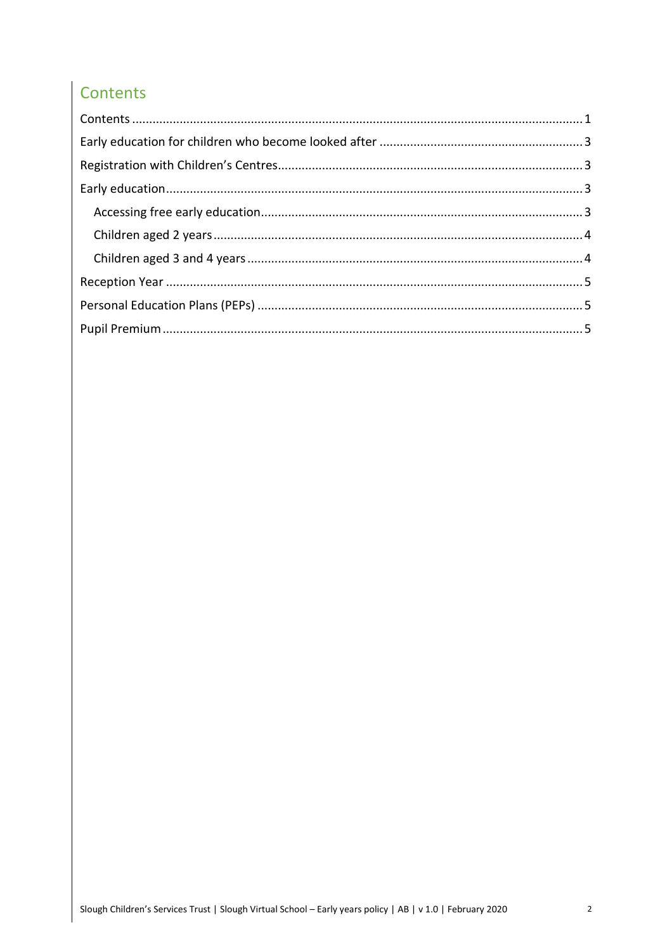# Contents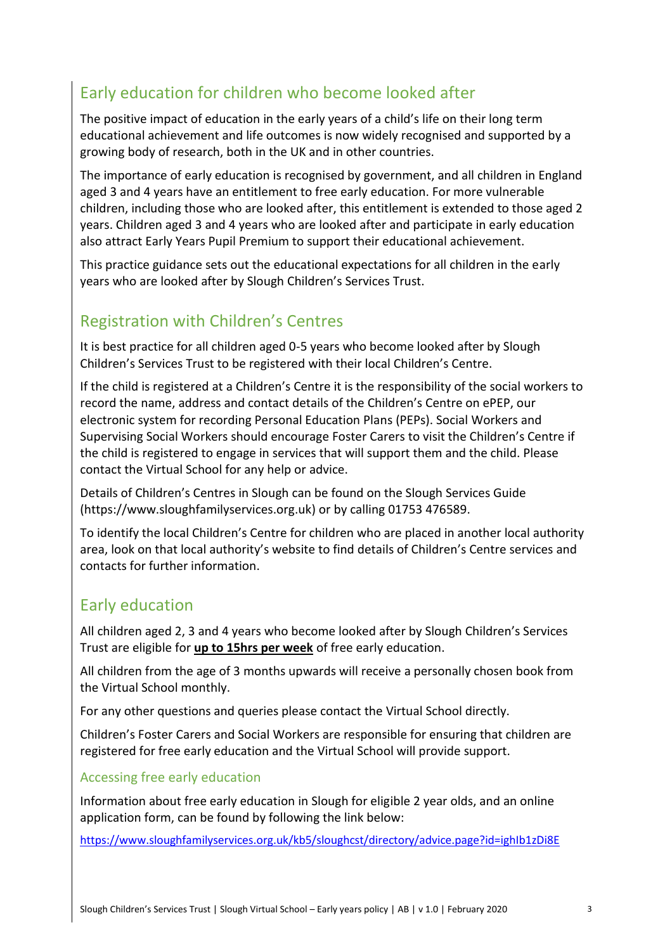# <span id="page-2-0"></span>Early education for children who become looked after

The positive impact of education in the early years of a child's life on their long term educational achievement and life outcomes is now widely recognised and supported by a growing body of research, both in the UK and in other countries.

The importance of early education is recognised by government, and all children in England aged 3 and 4 years have an entitlement to free early education. For more vulnerable children, including those who are looked after, this entitlement is extended to those aged 2 years. Children aged 3 and 4 years who are looked after and participate in early education also attract Early Years Pupil Premium to support their educational achievement.

This practice guidance sets out the educational expectations for all children in the early years who are looked after by Slough Children's Services Trust.

# <span id="page-2-1"></span>Registration with Children's Centres

It is best practice for all children aged 0-5 years who become looked after by Slough Children's Services Trust to be registered with their local Children's Centre.

If the child is registered at a Children's Centre it is the responsibility of the social workers to record the name, address and contact details of the Children's Centre on ePEP, our electronic system for recording Personal Education Plans (PEPs). Social Workers and Supervising Social Workers should encourage Foster Carers to visit the Children's Centre if the child is registered to engage in services that will support them and the child. Please contact the Virtual School for any help or advice.

Details of Children's Centres in Slough can be found on the Slough Services Guide (https://www.sloughfamilyservices.org.uk) or by calling 01753 476589.

To identify the local Children's Centre for children who are placed in another local authority area, look on that local authority's website to find details of Children's Centre services and contacts for further information.

# <span id="page-2-2"></span>Early education

All children aged 2, 3 and 4 years who become looked after by Slough Children's Services Trust are eligible for **up to 15hrs per week** of free early education.

All children from the age of 3 months upwards will receive a personally chosen book from the Virtual School monthly.

For any other questions and queries please contact the Virtual School directly.

Children's Foster Carers and Social Workers are responsible for ensuring that children are registered for free early education and the Virtual School will provide support.

#### <span id="page-2-3"></span>Accessing free early education

Information about free early education in Slough for eligible 2 year olds, and an online application form, can be found by following the link below:

<https://www.sloughfamilyservices.org.uk/kb5/sloughcst/directory/advice.page?id=ighIb1zDi8E>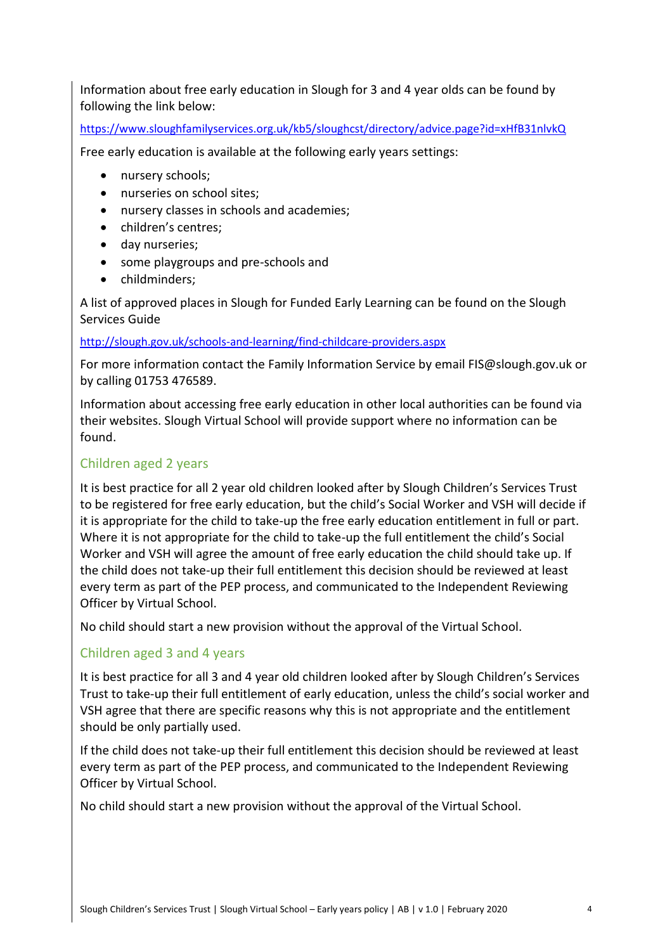Information about free early education in Slough for 3 and 4 year olds can be found by following the link below:

<https://www.sloughfamilyservices.org.uk/kb5/sloughcst/directory/advice.page?id=xHfB31nlvkQ>

Free early education is available at the following early years settings:

- nursery schools;
- nurseries on school sites:
- nursery classes in schools and academies;
- children's centres;
- day nurseries;
- some playgroups and pre-schools and
- childminders:

A list of approved places in Slough for Funded Early Learning can be found on the Slough Services Guide

#### <http://slough.gov.uk/schools-and-learning/find-childcare-providers.aspx>

For more information contact the Family Information Service by email FIS@slough.gov.uk or by calling 01753 476589.

Information about accessing free early education in other local authorities can be found via their websites. Slough Virtual School will provide support where no information can be found.

#### <span id="page-3-0"></span>Children aged 2 years

It is best practice for all 2 year old children looked after by Slough Children's Services Trust to be registered for free early education, but the child's Social Worker and VSH will decide if it is appropriate for the child to take-up the free early education entitlement in full or part. Where it is not appropriate for the child to take-up the full entitlement the child's Social Worker and VSH will agree the amount of free early education the child should take up. If the child does not take-up their full entitlement this decision should be reviewed at least every term as part of the PEP process, and communicated to the Independent Reviewing Officer by Virtual School.

No child should start a new provision without the approval of the Virtual School.

#### <span id="page-3-1"></span>Children aged 3 and 4 years

It is best practice for all 3 and 4 year old children looked after by Slough Children's Services Trust to take-up their full entitlement of early education, unless the child's social worker and VSH agree that there are specific reasons why this is not appropriate and the entitlement should be only partially used.

If the child does not take-up their full entitlement this decision should be reviewed at least every term as part of the PEP process, and communicated to the Independent Reviewing Officer by Virtual School.

No child should start a new provision without the approval of the Virtual School.